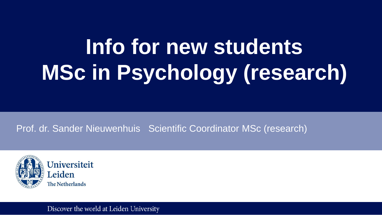# **Info for new students MSc in Psychology (research)**

Prof. dr. Sander Nieuwenhuis Scientific Coordinator MSc (research)



#### Discover the world at Leiden University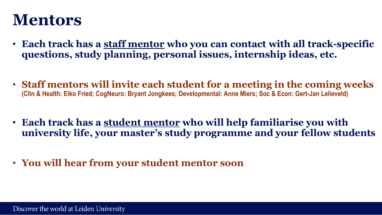#### **Mentors**

- **Each track has a staff mentor who you can contact with all track-specific questions, study planning, personal issues, internship ideas, etc.**
- **Staff mentors will invite each student for a meeting in the coming weeks (Clin & Health: Eiko Fried; CogNeuro: Bryant Jongkees; Developmental: Anne Miers; Soc & Econ: Gert-Jan Lelieveld)**
- **Each track has a student mentor who will help familiarise you with university life, your master's study programme and your fellow students**
- **You will hear from your student mentor soon**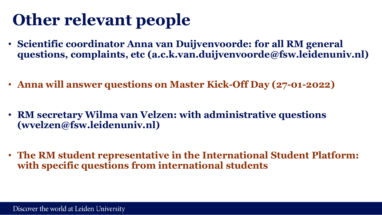# **Other relevant people**

- **Scientific coordinator Anna van Duijvenvoorde: for all RM general questions, complaints, etc (a.c.k.van.duijvenvoorde@fsw.leidenuniv.nl)**
- **Anna will answer questions on Master Kick-Off Day (27-01-2022)**
- **RM secretary Wilma van Velzen: with administrative questions (wvelzen@fsw.leidenuniv.nl)**
- **The RM student representative in the International Student Platform: with specific questions from international students**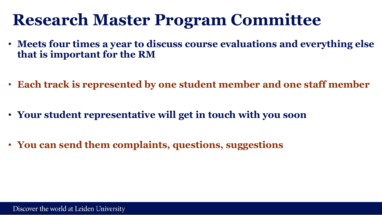### **Research Master Program Committee**

- **Meets four times a year to discuss course evaluations and everything else that is important for the RM**
- **Each track is represented by one student member and one staff member**
- **Your student representative will get in touch with you soon**
- **You can send them complaints, questions, suggestions**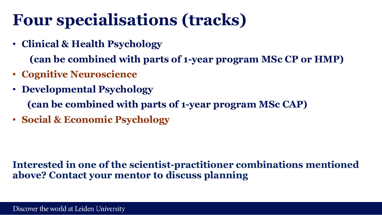# **Four specialisations (tracks)**

• **Clinical & Health Psychology** 

**(can be combined with parts of 1-year program MSc CP or HMP)**

- **Cognitive Neuroscience**
- **Developmental Psychology (can be combined with parts of 1-year program MSc CAP)**
- **Social & Economic Psychology**

#### **Interested in one of the scientist-practitioner combinations mentioned above? Contact your mentor to discuss planning**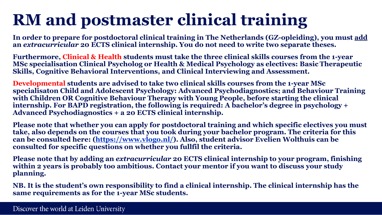# **RM and postmaster clinical training**

**In order to prepare for postdoctoral clinical training in The Netherlands (GZ-opleiding), you must add an** *extracurricular* **20 ECTS clinical internship. You do not need to write two separate theses.** 

**Furthermore, Clinical & Health students must take the three clinical skills courses from the 1-year MSc specialisation Clinical Psycholog or Health & Medical Psychology as electives: Basic Therapeutic Skills, Cognitive Behavioral Interventions, and Clinical Interviewing and Assessment.** 

**Developmental students are advised to take two clinical skills courses from the 1-year MSc specialisaton Child and Adolescent Psychology: Advanced Psychodiagnostics; and Behaviour Training with Children OR Cognitive Behaviour Therapy with Young People, before starting the clinical internship. For BAPD registration, the following is required: A bachelor's degree in psychology + Advanced Psychodiagnostics + a 20 ECTS clinical internship.**

**Please note that whether you can apply for postdoctoral training and which specific electives you must take, also depends on the courses that you took during your bachelor program. The criteria for this can be consulted here: [\(https://www.vlogo.nl/](https://www.vlogo.nl/sites/default/files/bestanden/verklaring-vooropleiding-100720.pdf)). Also, student advisor Evelien Wolthuis can be consulted for specific questions on whether you fullfil the criteria.** 

**Please note that by adding an** *extracurricular* **20 ECTS clinical internship to your program, finishing within 2 years is probably too ambitious. Contact your mentor if you want to discuss your study planning.** 

**NB. It is the student's own responsibility to find a clinical internship. The clinical internship has the same requirements as for the 1-year MSc students.**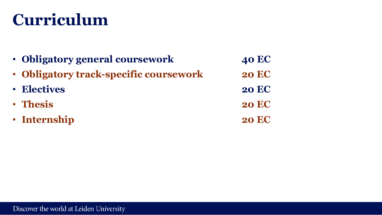### **Curriculum**

| • Obligatory general coursework        | <b>40 EC</b> |
|----------------------------------------|--------------|
| • Obligatory track-specific coursework | <b>20 EC</b> |
| <b>• Electives</b>                     | <b>20 EC</b> |
| · Thesis                               | <b>20 EC</b> |
| · Internship                           | <b>20 EC</b> |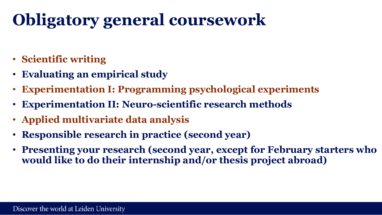# **Obligatory general coursework**

- **Scientific writing**
- **Evaluating an empirical study**
- **Experimentation I: Programming psychological experiments**
- **Experimentation II: Neuro-scientific research methods**
- **Applied multivariate data analysis**
- **Responsible research in practice (second year)**
- **Presenting your research (second year, except for February starters who would like to do their internship and/or thesis project abroad)**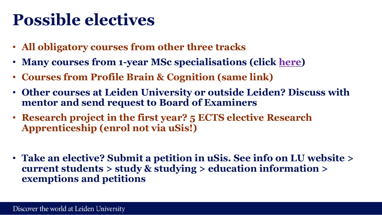### **Possible electives**

- **All obligatory courses from other three tracks**
- **Many courses from 1-year MSc specialisations (click [here\)](https://studiegids.universiteitleiden.nl/studies/7493/psychology-research#tab-2)**
- **Courses from Profile Brain & Cognition (same link)**
- **Other courses at Leiden University or outside Leiden? Discuss with mentor and send request to Board of Examiners**
- **Research project in the first year? 5 ECTS elective Research Apprenticeship (enrol not via uSis!)**
- **Take an elective? Submit a petition in uSis. See info on LU website > current students > study & studying > education information > exemptions and petitions**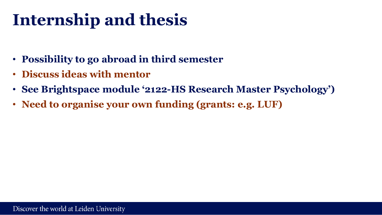# **Internship and thesis**

- **Possibility to go abroad in third semester**
- **Discuss ideas with mentor**
- **See Brightspace module '2122-HS Research Master Psychology')**
- **Need to organise your own funding (grants: e.g. LUF)**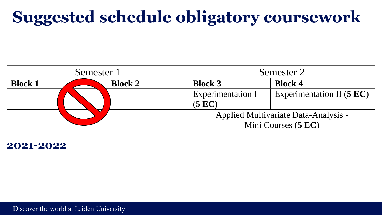# **Suggested schedule obligatory coursework**



#### **2021-2022**

Discover the world at Leiden University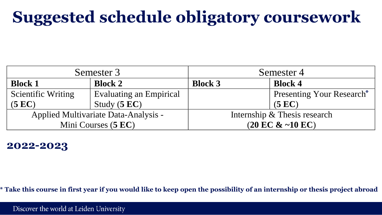# **Suggested schedule obligatory coursework**

|                           | Semester 3                           |                | Semester 4                           |
|---------------------------|--------------------------------------|----------------|--------------------------------------|
| <b>Block 1</b>            | <b>Block 2</b>                       | <b>Block 3</b> | <b>Block 4</b>                       |
| <b>Scientific Writing</b> | <b>Evaluating an Empirical</b>       |                | <b>Presenting Your Research*</b>     |
| (5 EC)                    | Study $(5 EC)$                       |                | (5 EC)                               |
|                           | Applied Multivariate Data-Analysis - |                | Internship & Thesis research         |
|                           | Mini Courses (5 EC)                  |                | $(20 \text{ EC } 8 - 10 \text{ EC})$ |

#### **2022-2023**

**\* Take this course in first year if you would like to keep open the possibility of an internship or thesis project abroad**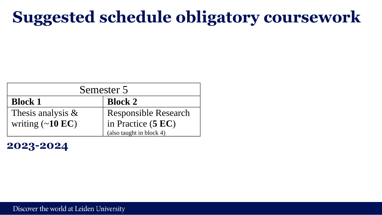## **Suggested schedule obligatory coursework**

| Semester 5                     |                             |  |
|--------------------------------|-----------------------------|--|
| <b>Block 1</b>                 | <b>Block 2</b>              |  |
| Thesis analysis $\&$           | <b>Responsible Research</b> |  |
| writing $(\sim 10 \text{ EC})$ | in Practice (5 EC)          |  |
|                                | (also taught in block 4)    |  |

**2023-2024**

Discover the world at Leiden University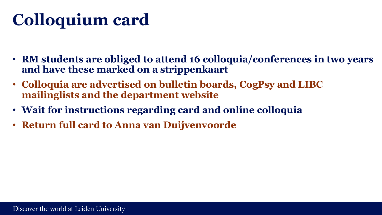# **Colloquium card**

- **RM students are obliged to attend 16 colloquia/conferences in two years and have these marked on a strippenkaart**
- **Colloquia are advertised on bulletin boards, CogPsy and LIBC mailinglists and the department website**
- **Wait for instructions regarding card and online colloquia**
- **Return full card to Anna van Duijvenvoorde**